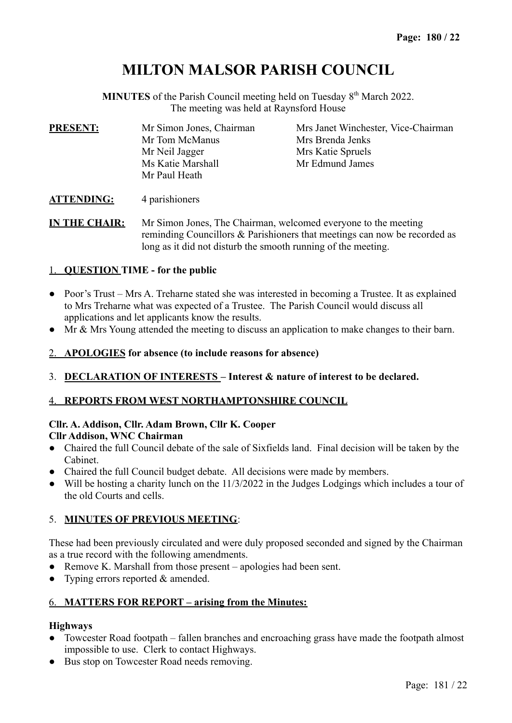# **MILTON MALSOR PARISH COUNCIL**

MINUTES of the Parish Council meeting held on Tuesday 8<sup>th</sup> March 2022. The meeting was held at Raynsford House

| <b>PRESENT:</b> | Mr Simon Jones, Chairman | Mrs Janet Winchester, Vice-Chairman |  |  |
|-----------------|--------------------------|-------------------------------------|--|--|
|                 | Mr Tom McManus           | Mrs Brenda Jenks                    |  |  |
|                 | Mr Neil Jagger           | Mrs Katie Spruels                   |  |  |
|                 | Ms Katie Marshall        | Mr Edmund James                     |  |  |
|                 | Mr Paul Heath            |                                     |  |  |

#### **ATTENDING:** 4 parishioners

**IN THE CHAIR:** Mr Simon Jones, The Chairman, welcomed everyone to the meeting reminding Councillors & Parishioners that meetings can now be recorded as long as it did not disturb the smooth running of the meeting.

#### 1. **QUESTION TIME - for the public**

- Poor's Trust Mrs A. Treharne stated she was interested in becoming a Trustee. It as explained to Mrs Treharne what was expected of a Trustee. The Parish Council would discuss all applications and let applicants know the results.
- Mr & Mrs Young attended the meeting to discuss an application to make changes to their barn.
- 2. **APOLOGIES for absence (to include reasons for absence)**
- 3. **DECLARATION OF INTERESTS Interest & nature of interest to be declared.**

#### 4. **REPORTS FROM WEST NORTHAMPTONSHIRE COUNCIL**

#### **Cllr. A. Addison, Cllr. Adam Brown, Cllr K. Cooper**

#### **Cllr Addison, WNC Chairman**

- Chaired the full Council debate of the sale of Sixfields land. Final decision will be taken by the Cabinet.
- Chaired the full Council budget debate. All decisions were made by members.
- Will be hosting a charity lunch on the 11/3/2022 in the Judges Lodgings which includes a tour of the old Courts and cells.

#### 5. **MINUTES OF PREVIOUS MEETING**:

These had been previously circulated and were duly proposed seconded and signed by the Chairman as a true record with the following amendments.

- Remove K. Marshall from those present apologies had been sent.
- Typing errors reported & amended.

#### 6. **MATTERS FOR REPORT – arising from the Minutes:**

## **Highways**

- Towcester Road footpath fallen branches and encroaching grass have made the footpath almost impossible to use. Clerk to contact Highways.
- Bus stop on Towcester Road needs removing.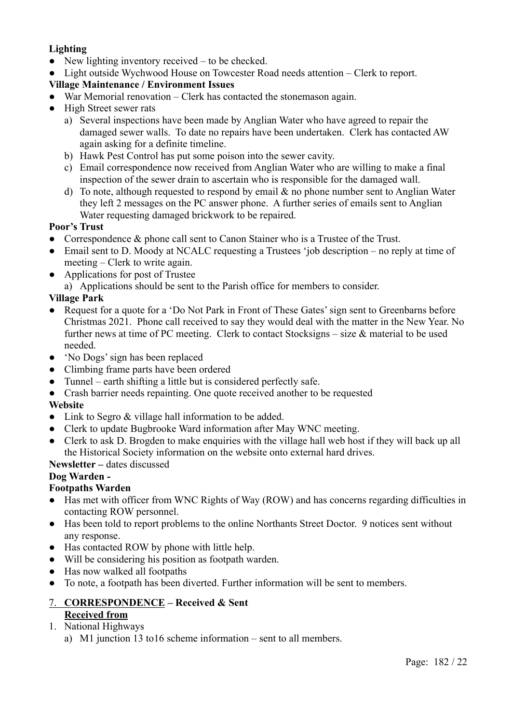### **Lighting**

- $\bullet$  New lighting inventory received to be checked.
- Light outside Wychwood House on Towcester Road needs attention Clerk to report.

#### **Village Maintenance / Environment Issues**

- War Memorial renovation Clerk has contacted the stonemason again.
- High Street sewer rats
	- a) Several inspections have been made by Anglian Water who have agreed to repair the damaged sewer walls. To date no repairs have been undertaken. Clerk has contacted AW again asking for a definite timeline.
	- b) Hawk Pest Control has put some poison into the sewer cavity.
	- c) Email correspondence now received from Anglian Water who are willing to make a final inspection of the sewer drain to ascertain who is responsible for the damaged wall.
	- d) To note, although requested to respond by email & no phone number sent to Anglian Water they left 2 messages on the PC answer phone. A further series of emails sent to Anglian Water requesting damaged brickwork to be repaired.

#### **Poor's Trust**

- Correspondence & phone call sent to Canon Stainer who is a Trustee of the Trust.
- Email sent to D. Moody at NCALC requesting a Trustees 'job description no reply at time of meeting – Clerk to write again.
- Applications for post of Trustee
	- a) Applications should be sent to the Parish office for members to consider.

#### **Village Park**

- Request for a quote for a 'Do Not Park in Front of These Gates' sign sent to Greenbarns before Christmas 2021. Phone call received to say they would deal with the matter in the New Year. No further news at time of PC meeting. Clerk to contact Stocksigns – size & material to be used needed.
- 'No Dogs' sign has been replaced
- Climbing frame parts have been ordered
- Tunnel earth shifting a little but is considered perfectly safe.
- Crash barrier needs repainting. One quote received another to be requested

#### **Website**

- Link to Segro & village hall information to be added.
- Clerk to update Bugbrooke Ward information after May WNC meeting.
- Clerk to ask D. Brogden to make enquiries with the village hall web host if they will back up all the Historical Society information on the website onto external hard drives.

#### **Newsletter –** dates discussed

#### **Dog Warden -**

#### **Footpaths Warden**

- Has met with officer from WNC Rights of Way (ROW) and has concerns regarding difficulties in contacting ROW personnel.
- Has been told to report problems to the online Northants Street Doctor. 9 notices sent without any response.
- Has contacted ROW by phone with little help.
- Will be considering his position as footpath warden.
- Has now walked all footpaths
- To note, a footpath has been diverted. Further information will be sent to members.

## 7. **CORRESPONDENCE – Received & Sent**

### **Received from**

- 1. National Highways
	- a) M1 junction 13 to16 scheme information sent to all members.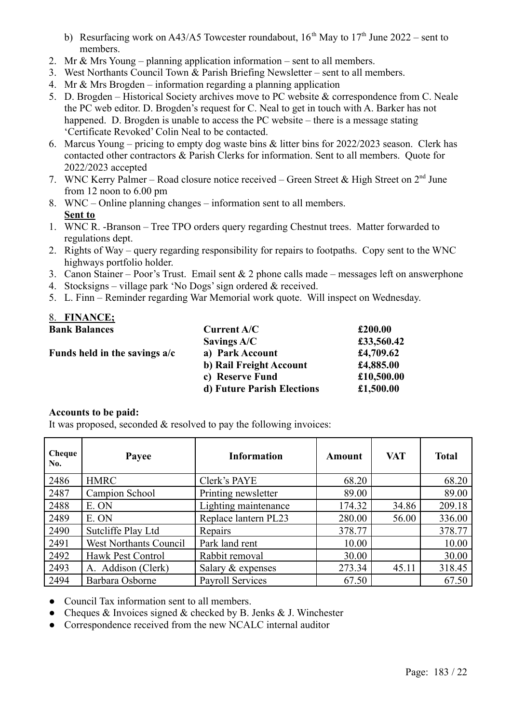- b) Resurfacing work on A43/A5 Towcester roundabout,  $16<sup>th</sup>$  May to  $17<sup>th</sup>$  June 2022 sent to members.
- 2. Mr & Mrs Young planning application information sent to all members.
- 3. West Northants Council Town & Parish Briefing Newsletter sent to all members.
- 4. Mr & Mrs Brogden information regarding a planning application
- 5. D. Brogden Historical Society archives move to PC website & correspondence from C. Neale the PC web editor. D. Brogden's request for C. Neal to get in touch with A. Barker has not happened. D. Brogden is unable to access the PC website – there is a message stating 'Certificate Revoked' Colin Neal to be contacted.
- 6. Marcus Young pricing to empty dog waste bins & litter bins for 2022/2023 season. Clerk has contacted other contractors & Parish Clerks for information. Sent to all members. Quote for 2022/2023 accepted
- 7. WNC Kerry Palmer Road closure notice received Green Street & High Street on  $2<sup>nd</sup>$  June from 12 noon to 6.00 pm
- 8. WNC Online planning changes information sent to all members. **Sent to**
- 1. WNC R. -Branson Tree TPO orders query regarding Chestnut trees. Matter forwarded to regulations dept.
- 2. Rights of Way query regarding responsibility for repairs to footpaths. Copy sent to the WNC highways portfolio holder.
- 3. Canon Stainer Poor's Trust. Email sent  $& 2$  phone calls made messages left on answerphone
- 4. Stocksigns village park 'No Dogs' sign ordered & received.
- 5. L. Finn Reminder regarding War Memorial work quote. Will inspect on Wednesday.

# 8. **FINANCE;**

| 0.1111110                       |                            |            |
|---------------------------------|----------------------------|------------|
| <b>Bank Balances</b>            | Current A/C                | £200.00    |
|                                 | Savings A/C                | £33,560.42 |
| Funds held in the savings $a/c$ | a) Park Account            | £4,709.62  |
|                                 | b) Rail Freight Account    | £4,885.00  |
|                                 | c) Reserve Fund            | £10,500.00 |
|                                 | d) Future Parish Elections | £1,500.00  |

#### **Accounts to be paid:**

It was proposed, seconded & resolved to pay the following invoices:

| Cheque<br>No. | Payee                         | <b>Information</b>      | Amount | <b>VAT</b> | <b>Total</b> |
|---------------|-------------------------------|-------------------------|--------|------------|--------------|
| 2486          | <b>HMRC</b>                   | Clerk's PAYE            | 68.20  |            | 68.20        |
| 2487          | Campion School                | Printing newsletter     | 89.00  |            | 89.00        |
| 2488          | E. ON                         | Lighting maintenance    | 174.32 | 34.86      | 209.18       |
| 2489          | E. ON                         | Replace lantern PL23    | 280.00 | 56.00      | 336.00       |
| 2490          | Sutcliffe Play Ltd            | Repairs                 | 378.77 |            | 378.77       |
| 2491          | <b>West Northants Council</b> | Park land rent          | 10.00  |            | 10.00        |
| 2492          | Hawk Pest Control             | Rabbit removal          | 30.00  |            | 30.00        |
| 2493          | A. Addison (Clerk)            | Salary & expenses       | 273.34 | 45.11      | 318.45       |
| 2494          | Barbara Osborne               | <b>Payroll Services</b> | 67.50  |            | 67.50        |

● Council Tax information sent to all members.

- Cheques & Invoices signed & checked by B. Jenks & J. Winchester
- Correspondence received from the new NCALC internal auditor